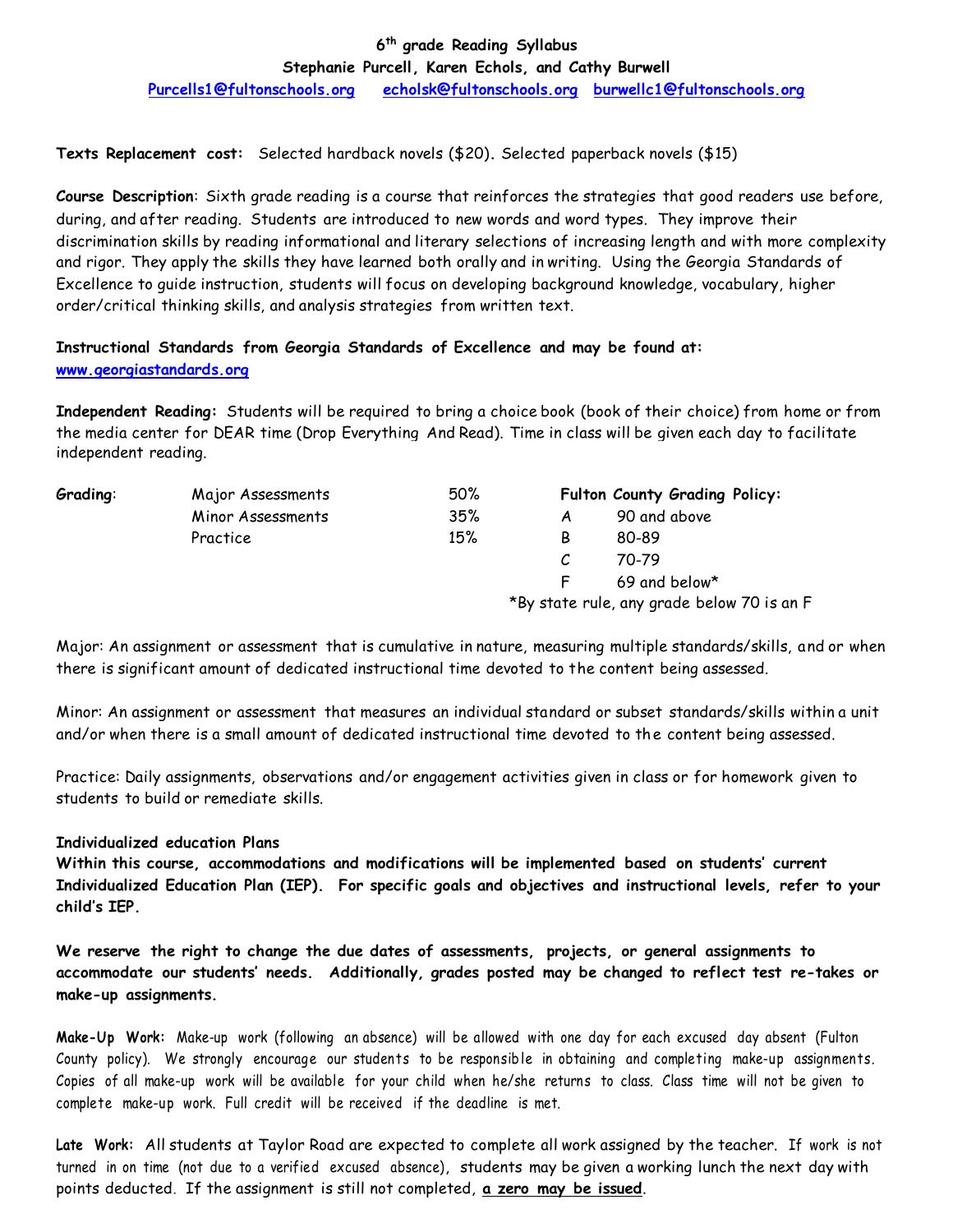# **6 th grade Reading Syllabus**

**Stephanie Purcell, Karen Echols, and Cathy Burwell**

**Purcells1@fultonschools.org echolsk@fultonschools.org burwellc1@fultonschools.org**

**Texts Replacement cost:** Selected hardback novels (\$20)**.** Selected paperback novels (\$15)

**Course Description**: Sixth grade reading is a course that reinforces the strategies that good readers use before, during, and after reading. Students are introduced to new words and word types. They improve their discrimination skills by reading informational and literary selections of increasing length and with more complexity and rigor. They apply the skills they have learned both orally and in writing. Using the Georgia Standards of Excellence to guide instruction, students will focus on developing background knowledge, vocabulary, higher order/critical thinking skills, and analysis strategies from written text.

# **Instructional Standards from Georgia Standards of Excellence and may be found at: www.georgiastandards.org**

**Independent Reading:** Students will be required to bring a choice book (book of their choice) from home or from the media center for DEAR time (Drop Everything And Read). Time in class will be given each day to facilitate independent reading.

| Grading: | Major Assessments | 50% |                                            | Fulton County Grading Policy: |  |
|----------|-------------------|-----|--------------------------------------------|-------------------------------|--|
|          | Minor Assessments | 35% |                                            | 90 and above                  |  |
|          | Practice          | 15% | В                                          | 80-89                         |  |
|          |                   |     |                                            | 70-79                         |  |
|          |                   |     |                                            | 69 and below*                 |  |
|          |                   |     | *By state rule, any grade below 70 is an F |                               |  |

Major: An assignment or assessment that is cumulative in nature, measuring multiple standards/skills, and or when there is significant amount of dedicated instructional time devoted to the content being assessed.

Minor: An assignment or assessment that measures an individual standard or subset standards/skills within a unit and/or when there is a small amount of dedicated instructional time devoted to the content being assessed.

Practice: Daily assignments, observations and/or engagement activities given in class or for homework given to students to build or remediate skills.

### **Individualized education Plans**

**Within this course, accommodations and modifications will be implemented based on students' current Individualized Education Plan (IEP). For specific goals and objectives and instructional levels, refer to your child's IEP.**

**We reserve the right to change the due dates of assessments, projects, or general assignments to accommodate our students' needs. Additionally, grades posted may be changed to reflect test re-takes or make-up assignments.**

**Make-Up Work:** Make-up work (following an absence) will be allowed with one day for each excused day absent (Fulton County policy). We strongly encourage our students to be responsible in obtaining and completing make-up assignments. Copies of all make-up work will be available for your child when he/she returns to class. Class time will not be given to complete make-up work. Full credit will be received if the deadline is met.

**Late Work:** All students at Taylor Road are expected to complete all work assigned by the teacher. If work is not turned in on time (not due to a verified excused absence), students may be given a working lunch the next day with points deducted. If the assignment is still not completed, **a zero may be issued**.